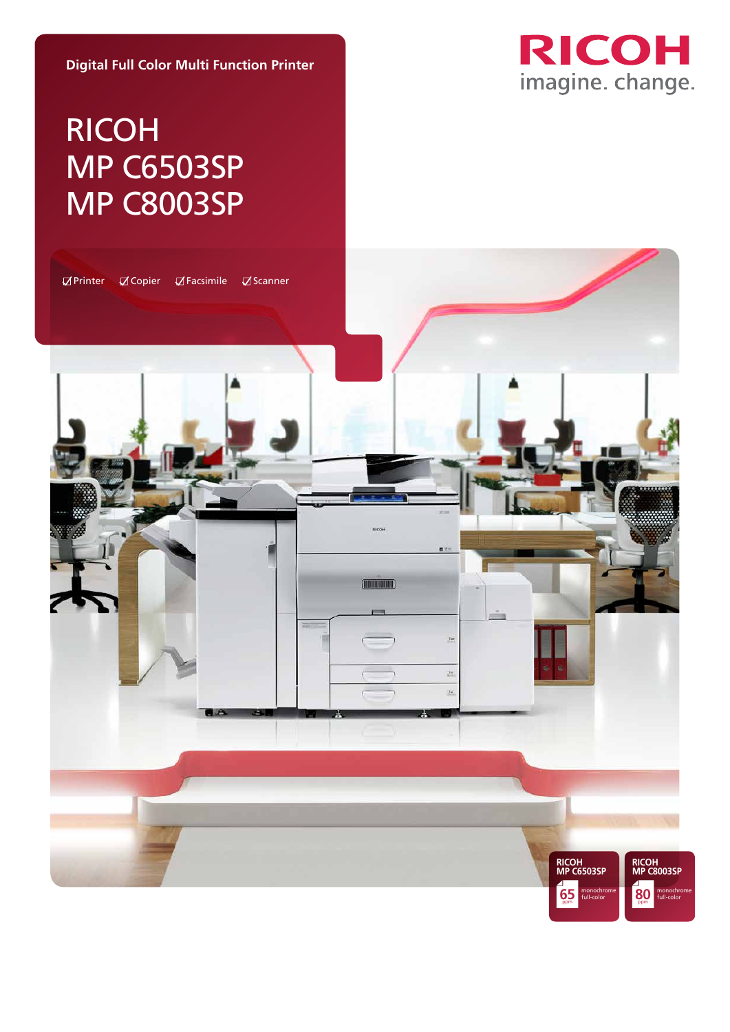

### **Digital Full Color Multi Function Printer**

# RICOH MP C6503SP MP C8003SP

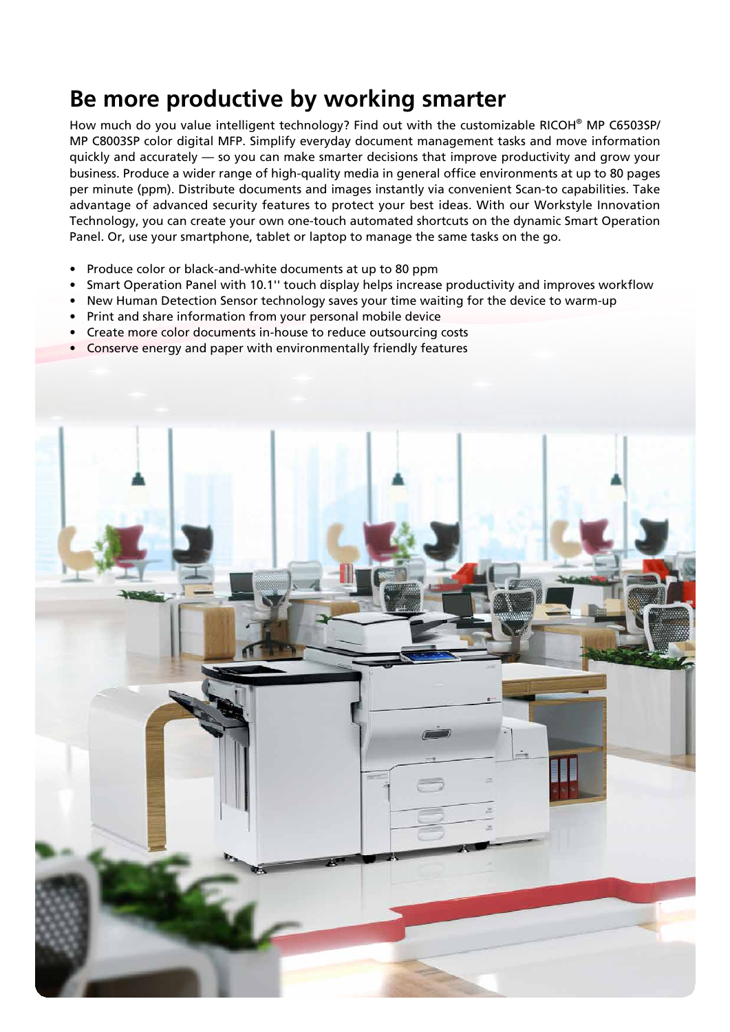## **Be more productive by working smarter**

How much do you value intelligent technology? Find out with the customizable RICOH® MP C6503SP/ MP C8003SP color digital MFP. Simplify everyday document management tasks and move information quickly and accurately — so you can make smarter decisions that improve productivity and grow your business. Produce a wider range of high-quality media in general office environments at up to 80 pages per minute (ppm). Distribute documents and images instantly via convenient Scan-to capabilities. Take advantage of advanced security features to protect your best ideas. With our Workstyle Innovation Technology, you can create your own one-touch automated shortcuts on the dynamic Smart Operation Panel. Or, use your smartphone, tablet or laptop to manage the same tasks on the go.

- Produce color or black-and-white documents at up to 80 ppm
- Smart Operation Panel with 10.1'' touch display helps increase productivity and improves workflow
- New Human Detection Sensor technology saves your time waiting for the device to warm-up
- Print and share information from your personal mobile device
- Create more color documents in-house to reduce outsourcing costs
- Conserve energy and paper with environmentally friendly features

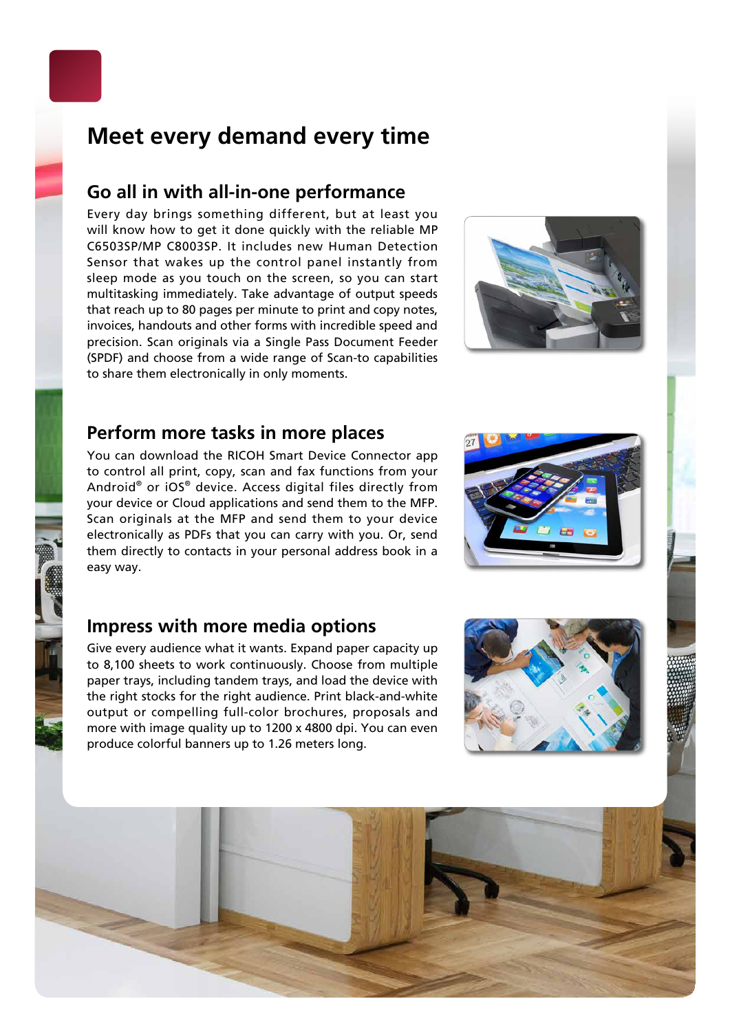## **Meet every demand every time**

## **Go all in with all-in-one performance**

Every day brings something different, but at least you will know how to get it done quickly with the reliable MP C6503SP/MP C8003SP. It includes new Human Detection Sensor that wakes up the control panel instantly from sleep mode as you touch on the screen, so you can start multitasking immediately. Take advantage of output speeds that reach up to 80 pages per minute to print and copy notes, invoices, handouts and other forms with incredible speed and precision. Scan originals via a Single Pass Document Feeder (SPDF) and choose from a wide range of Scan-to capabilities to share them electronically in only moments.



## **Perform more tasks in more places**

You can download the RICOH Smart Device Connector app to control all print, copy, scan and fax functions from your Android® or iOS® device. Access digital files directly from your device or Cloud applications and send them to the MFP. Scan originals at the MFP and send them to your device electronically as PDFs that you can carry with you. Or, send them directly to contacts in your personal address book in a easy way.

### **Impress with more media options**

Give every audience what it wants. Expand paper capacity up to 8,100 sheets to work continuously. Choose from multiple paper trays, including tandem trays, and load the device with the right stocks for the right audience. Print black-and-white output or compelling full-color brochures, proposals and more with image quality up to 1200 x 4800 dpi. You can even produce colorful banners up to 1.26 meters long.





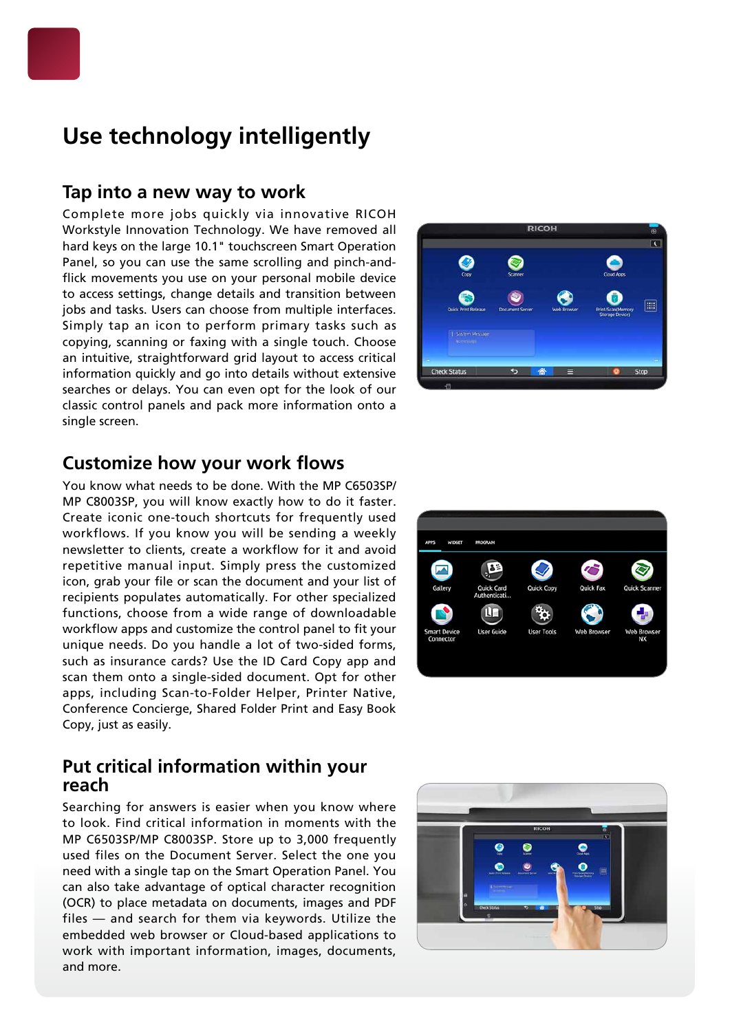## **Use technology intelligently**

### **Tap into a new way to work**

Complete more jobs quickly via innovative RICOH Workstyle Innovation Technology. We have removed all hard keys on the large 10.1" touchscreen Smart Operation Panel, so you can use the same scrolling and pinch-andflick movements you use on your personal mobile device to access settings, change details and transition between jobs and tasks. Users can choose from multiple interfaces. Simply tap an icon to perform primary tasks such as copying, scanning or faxing with a single touch. Choose an intuitive, straightforward grid layout to access critical information quickly and go into details without extensive searches or delays. You can even opt for the look of our classic control panels and pack more information onto a single screen.



### **Customize how your work flows**

You know what needs to be done. With the MP C6503SP/ MP C8003SP, you will know exactly how to do it faster. Create iconic one-touch shortcuts for frequently used workflows. If you know you will be sending a weekly newsletter to clients, create a workflow for it and avoid repetitive manual input. Simply press the customized icon, grab your file or scan the document and your list of recipients populates automatically. For other specialized functions, choose from a wide range of downloadable workflow apps and customize the control panel to fit your unique needs. Do you handle a lot of two-sided forms, such as insurance cards? Use the ID Card Copy app and scan them onto a single-sided document. Opt for other apps, including Scan-to-Folder Helper, Printer Native, Conference Concierge, Shared Folder Print and Easy Book Copy, just as easily.



### **Put critical information within your reach**

Searching for answers is easier when you know where to look. Find critical information in moments with the MP C6503SP/MP C8003SP. Store up to 3,000 frequently used files on the Document Server. Select the one you need with a single tap on the Smart Operation Panel. You can also take advantage of optical character recognition (OCR) to place metadata on documents, images and PDF files — and search for them via keywords. Utilize the embedded web browser or Cloud-based applications to work with important information, images, documents, and more.

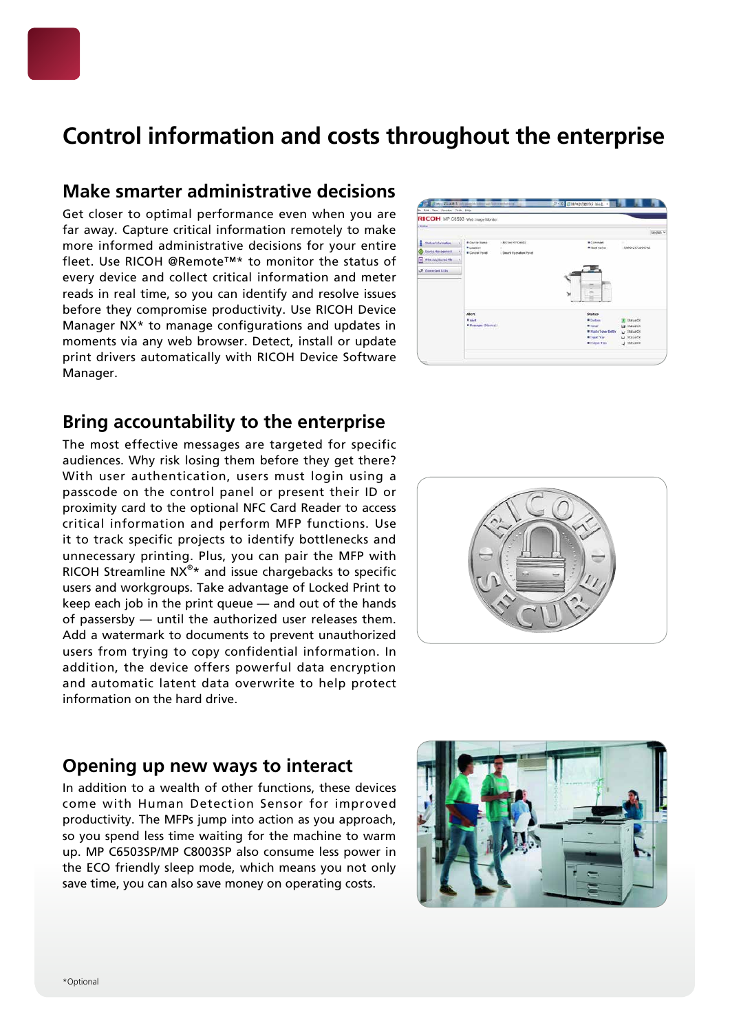## **Control information and costs throughout the enterprise**

## **Make smarter administrative decisions**

Get closer to optimal performance even when you are far away. Capture critical information remotely to make more informed administrative decisions for your entire fleet. Use RICOH @Remote™\* to monitor the status of every device and collect critical information and meter reads in real time, so you can identify and resolve issues before they compromise productivity. Use RICOH Device Manager NX\* to manage configurations and updates in moments via any web browser. Detect, install or update print drivers automatically with RICOH Device Software Manager.



## **Bring accountability to the enterprise**

The most effective messages are targeted for specific audiences. Why risk losing them before they get there? With user authentication, users must login using a passcode on the control panel or present their ID or proximity card to the optional NFC Card Reader to access critical information and perform MFP functions. Use it to track specific projects to identify bottlenecks and unnecessary printing. Plus, you can pair the MFP with RICOH Streamline  $NX^{\circ*}$  and issue chargebacks to specific users and workgroups. Take advantage of Locked Print to keep each job in the print queue — and out of the hands of passersby — until the authorized user releases them. Add a watermark to documents to prevent unauthorized users from trying to copy confidential information. In addition, the device offers powerful data encryption and automatic latent data overwrite to help protect information on the hard drive.



## **Opening up new ways to interact**

In addition to a wealth of other functions, these devices come with Human Detection Sensor for improved productivity. The MFPs jump into action as you approach, so you spend less time waiting for the machine to warm up. MP C6503SP/MP C8003SP also consume less power in the ECO friendly sleep mode, which means you not only save time, you can also save money on operating costs.

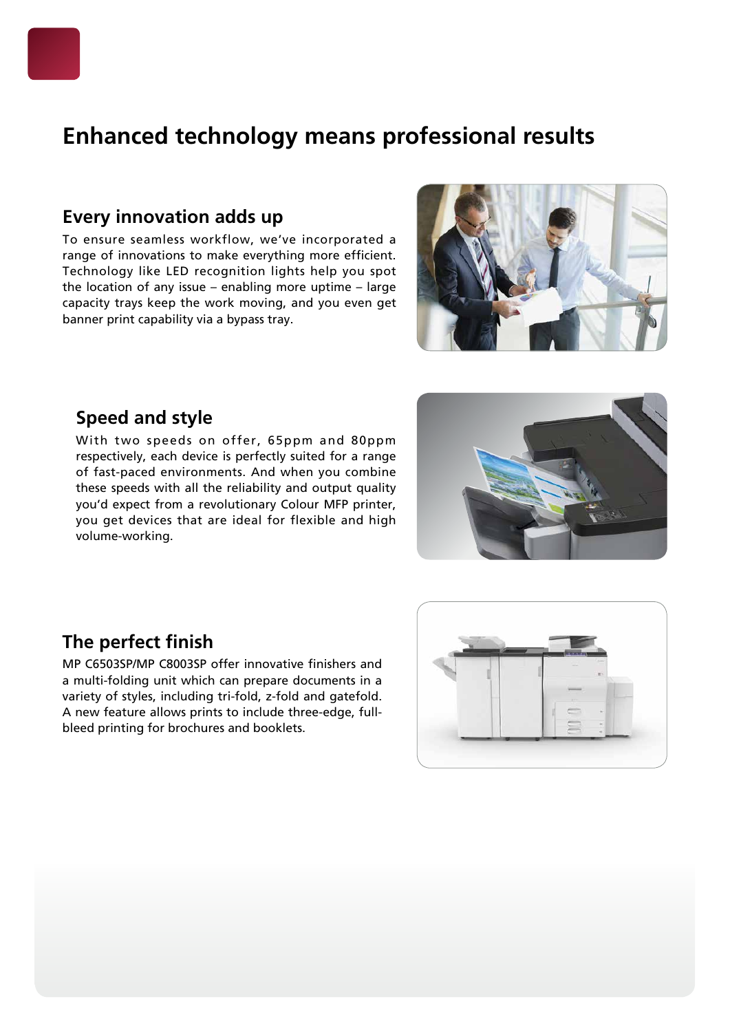## **Enhanced technology means professional results**

## **Every innovation adds up**

To ensure seamless workflow, we've incorporated a range of innovations to make everything more efficient. Technology like LED recognition lights help you spot the location of any issue – enabling more uptime – large capacity trays keep the work moving, and you even get banner print capability via a bypass tray.



## **Speed and style**

With two speeds on offer, 65ppm and 80ppm respectively, each device is perfectly suited for a range of fast-paced environments. And when you combine these speeds with all the reliability and output quality you'd expect from a revolutionary Colour MFP printer, you get devices that are ideal for flexible and high volume-working.



## **The perfect finish**

MP C6503SP/MP C8003SP offer innovative finishers and a multi-folding unit which can prepare documents in a variety of styles, including tri-fold, z-fold and gatefold. A new feature allows prints to include three-edge, fullbleed printing for brochures and booklets.

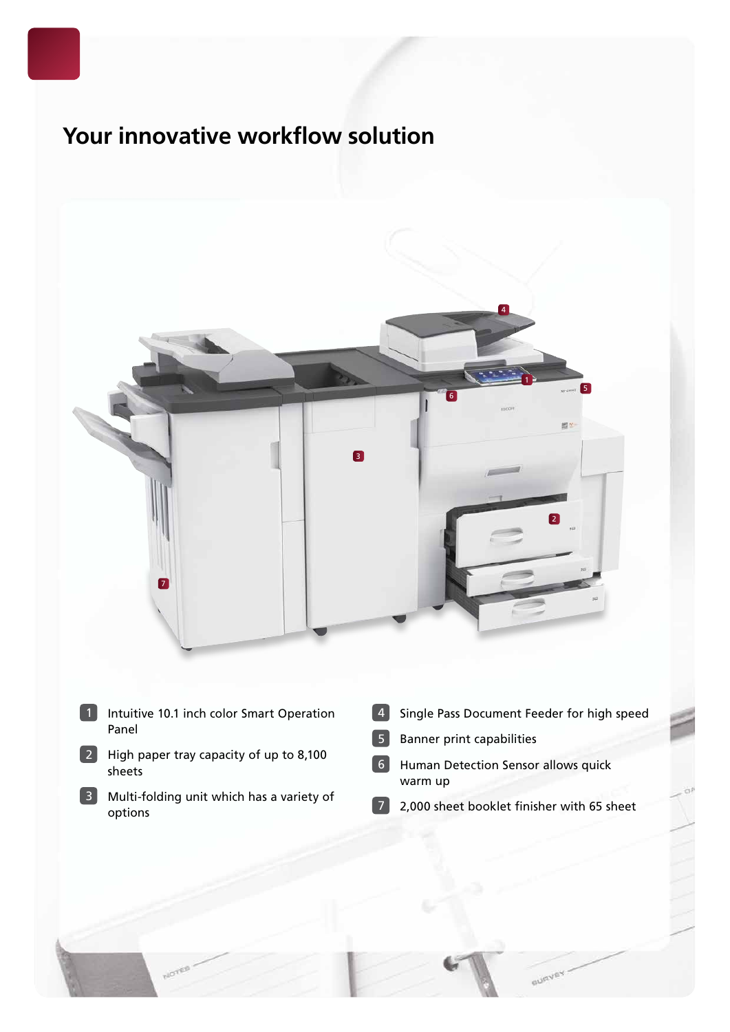## **Your innovative workflow solution**



- Intuitive 10.1 inch color Smart Operation Panel
- High paper tray capacity of up to 8,100 sheets
- Multi-folding unit which has a variety of options
- Single Pass Document Feeder for high speed
- Banner print capabilities
- Human Detection Sensor allows quick warm up
- 2,000 sheet booklet finisher with 65 sheet

**GURVEY**